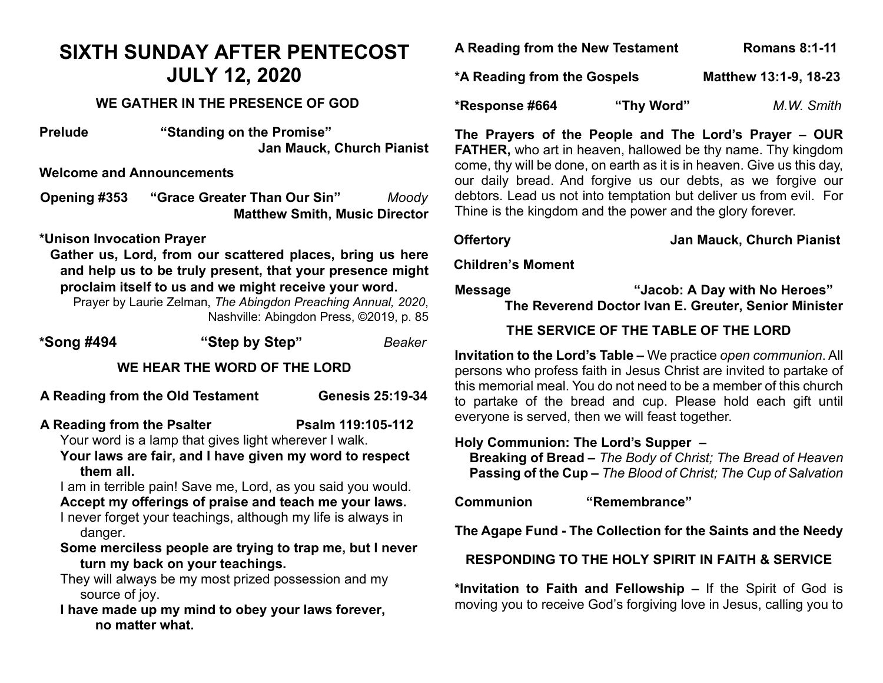## **SIXTH SUNDAY AFTER PENTECOST JULY 12, 2020**

#### **WE GATHER IN THE PRESENCE OF GOD**

**Prelude "Standing on the Promise" Jan Mauck, Church Pianist**

**Welcome and Announcements**

**Opening #353 "Grace Greater Than Our Sin"** *Moody* **Matthew Smith, Music Director** 

#### **\*Unison Invocation Prayer**

**Gather us, Lord, from our scattered places, bring us here and help us to be truly present, that your presence might proclaim itself to us and we might receive your word.** 

Prayer by Laurie Zelman, *The Abingdon Preaching Annual, 2020*, Nashville: Abingdon Press, ©2019, p. 85

| *Song #494                                                           | "Step by Step"                                                                                                                                                                                                                                                                                                                                                                                                                                                   | Beaker                  |
|----------------------------------------------------------------------|------------------------------------------------------------------------------------------------------------------------------------------------------------------------------------------------------------------------------------------------------------------------------------------------------------------------------------------------------------------------------------------------------------------------------------------------------------------|-------------------------|
|                                                                      | WE HEAR THE WORD OF THE LORD                                                                                                                                                                                                                                                                                                                                                                                                                                     |                         |
|                                                                      | A Reading from the Old Testament                                                                                                                                                                                                                                                                                                                                                                                                                                 | <b>Genesis 25:19-34</b> |
| A Reading from the Psalter<br>them all.<br>danger.<br>source of joy. | Your word is a lamp that gives light wherever I walk.<br>Your laws are fair, and I have given my word to respect<br>I am in terrible pain! Save me, Lord, as you said you would.<br>Accept my offerings of praise and teach me your laws.<br>I never forget your teachings, although my life is always in<br>Some merciless people are trying to trap me, but I never<br>turn my back on your teachings.<br>They will always be my most prized possession and my | Psalm 119:105-112       |

**I have made up my mind to obey your laws forever, no matter what.**

| A Reading from the New Testament |            | <b>Romans 8:1-11</b>  |            |
|----------------------------------|------------|-----------------------|------------|
| *A Reading from the Gospels      |            | Matthew 13:1-9, 18-23 |            |
| *Response #664                   | "Thy Word" |                       | M.W. Smith |

**The Prayers of the People and The Lord's Prayer – OUR FATHER,** who art in heaven, hallowed be thy name. Thy kingdom come, thy will be done, on earth as it is in heaven. Give us this day, our daily bread. And forgive us our debts, as we forgive our debtors. Lead us not into temptation but deliver us from evil. For Thine is the kingdom and the power and the glory forever.

**Offertory Jan Mauck, Church Pianist**

**Children's Moment**

**Message "Jacob: A Day with No Heroes"**

**The Reverend Doctor Ivan E. Greuter, Senior Minister**

### **THE SERVICE OF THE TABLE OF THE LORD**

**Invitation to the Lord's Table –** We practice *open communion*. All persons who profess faith in Jesus Christ are invited to partake of this memorial meal. You do not need to be a member of this church to partake of the bread and cup. Please hold each gift until everyone is served, then we will feast together.

#### **Holy Communion: The Lord's Supper –**

 **Breaking of Bread –** *The Body of Christ; The Bread of Heaven*  **Passing of the Cup –** *The Blood of Christ; The Cup of Salvation*

**Communion "Remembrance"**

**The Agape Fund - The Collection for the Saints and the Needy**

**RESPONDING TO THE HOLY SPIRIT IN FAITH & SERVICE**

**\*Invitation to Faith and Fellowship –** If the Spirit of God is moving you to receive God's forgiving love in Jesus, calling you to